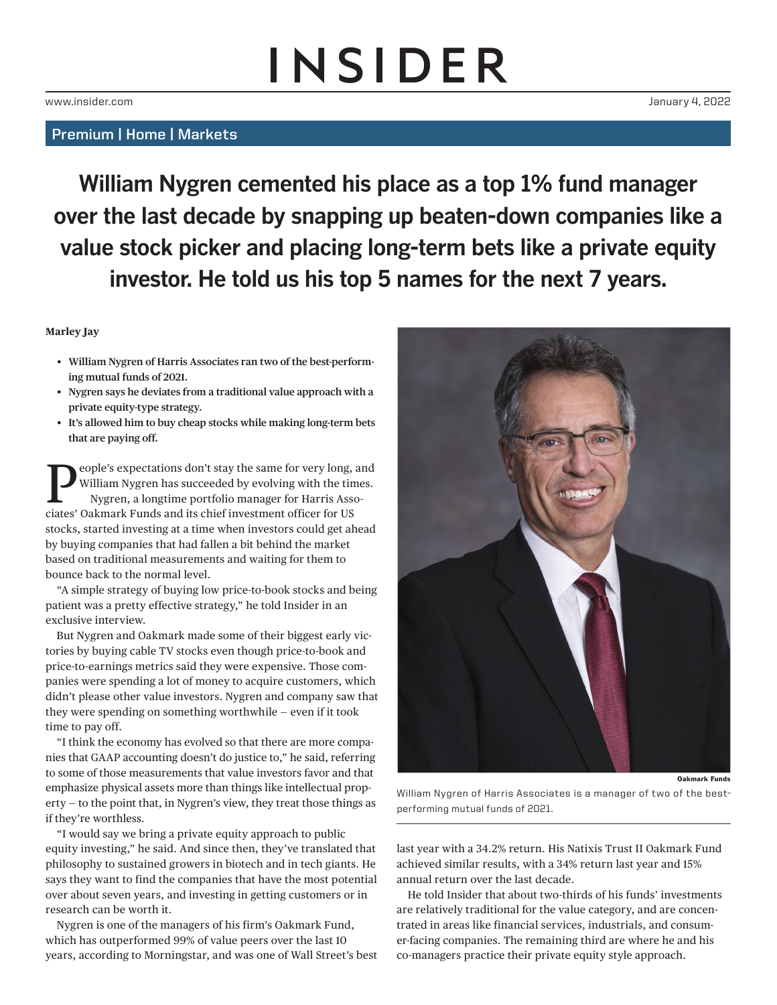## **INSIDER**

## Premium | Home | Markets

**William Nygren cemented his place as a top 1% fund manager over the last decade by snapping up beaten-down companies like a value stock picker and placing long-term bets like a private equity investor. He told us his top 5 names for the next 7 years.**

## **Marley Jay**

- **• William Nygren of Harris Associates ran two of the best-performing mutual funds of 2021.**
- **• Nygren says he deviates from a traditional value approach with a private equity-type strategy.**
- **• It's allowed him to buy cheap stocks while making long-term bets that are paying off.**

**People's expectations don't stay the same for very long, and<br>William Nygren has succeeded by evolving with the times.<br>Nygren, a longtime portfolio manager for Harris Associates' Oslimark Europe and its chief investment of** William Nygren has succeeded by evolving with the times. Nygren, a longtime portfolio manager for Harris Associates' Oakmark Funds and its chief investment officer for US stocks, started investing at a time when investors could get ahead by buying companies that had fallen a bit behind the market based on traditional measurements and waiting for them to bounce back to the normal level.

"A simple strategy of buying low price-to-book stocks and being patient was a pretty effective strategy," he told Insider in an exclusive interview.

But Nygren and Oakmark made some of their biggest early victories by buying cable TV stocks even though price-to-book and price-to-earnings metrics said they were expensive. Those companies were spending a lot of money to acquire customers, which didn't please other value investors. Nygren and company saw that they were spending on something worthwhile — even if it took time to pay off.

"I think the economy has evolved so that there are more companies that GAAP accounting doesn't do justice to," he said, referring to some of those measurements that value investors favor and that emphasize physical assets more than things like intellectual property — to the point that, in Nygren's view, they treat those things as if they're worthless.

"I would say we bring a private equity approach to public equity investing," he said. And since then, they've translated that philosophy to sustained growers in biotech and in tech giants. He says they want to find the companies that have the most potential over about seven years, and investing in getting customers or in research can be worth it.

Nygren is one of the managers of his firm's Oakmark Fund, which has outperformed 99% of value peers over the last 10 years, according to Morningstar, and was one of Wall Street's best

Oakmark Funds

William Nygren of Harris Associates is a manager of two of the bestperforming mutual funds of 2021.

last year with a 34.2% return. His Natixis Trust II Oakmark Fund achieved similar results, with a 34% return last year and 15% annual return over the last decade.

He told Insider that about two-thirds of his funds' investments are relatively traditional for the value category, and are concentrated in areas like financial services, industrials, and consumer-facing companies. The remaining third are where he and his co-managers practice their private equity style approach.